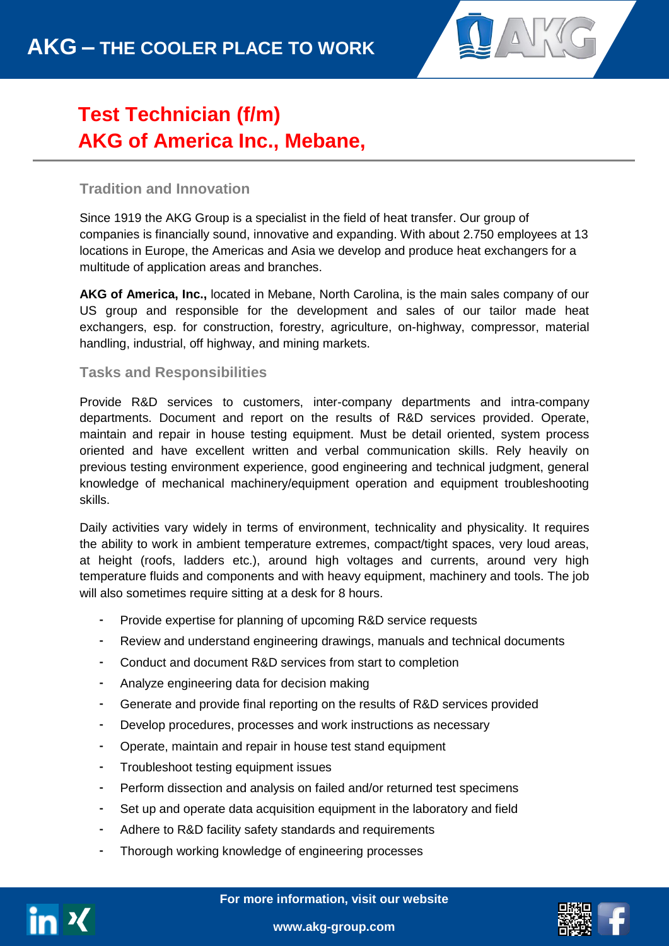

# **Test Technician (f/m) AKG of America Inc., Mebane,**

## **Tradition and Innovation**

**NC**

Since 1919 the AKG Group is a specialist in the field of heat transfer. Our group of companies is financially sound, innovative and expanding. With about 2.750 employees at 13 locations in Europe, the Americas and Asia we develop and produce heat exchangers for a multitude of application areas and branches.

**AKG of America, Inc.,** located in Mebane, North Carolina, is the main sales company of our US group and responsible for the development and sales of our tailor made heat exchangers, esp. for construction, forestry, agriculture, on-highway, compressor, material handling, industrial, off highway, and mining markets.

### **Tasks and Responsibilities**

Provide R&D services to customers, inter-company departments and intra-company departments. Document and report on the results of R&D services provided. Operate, maintain and repair in house testing equipment. Must be detail oriented, system process oriented and have excellent written and verbal communication skills. Rely heavily on previous testing environment experience, good engineering and technical judgment, general knowledge of mechanical machinery/equipment operation and equipment troubleshooting skills.

Daily activities vary widely in terms of environment, technicality and physicality. It requires the ability to work in ambient temperature extremes, compact/tight spaces, very loud areas, at height (roofs, ladders etc.), around high voltages and currents, around very high temperature fluids and components and with heavy equipment, machinery and tools. The job will also sometimes require sitting at a desk for 8 hours.

- Provide expertise for planning of upcoming R&D service requests
- Review and understand engineering drawings, manuals and technical documents
- Conduct and document R&D services from start to completion
- Analyze engineering data for decision making
- Generate and provide final reporting on the results of R&D services provided
- Develop procedures, processes and work instructions as necessary
- Operate, maintain and repair in house test stand equipment
- Troubleshoot testing equipment issues
- Perform dissection and analysis on failed and/or returned test specimens
- Set up and operate data acquisition equipment in the laboratory and field
- Adhere to R&D facility safety standards and requirements
- Thorough working knowledge of engineering processes



**For more information, visit our website**